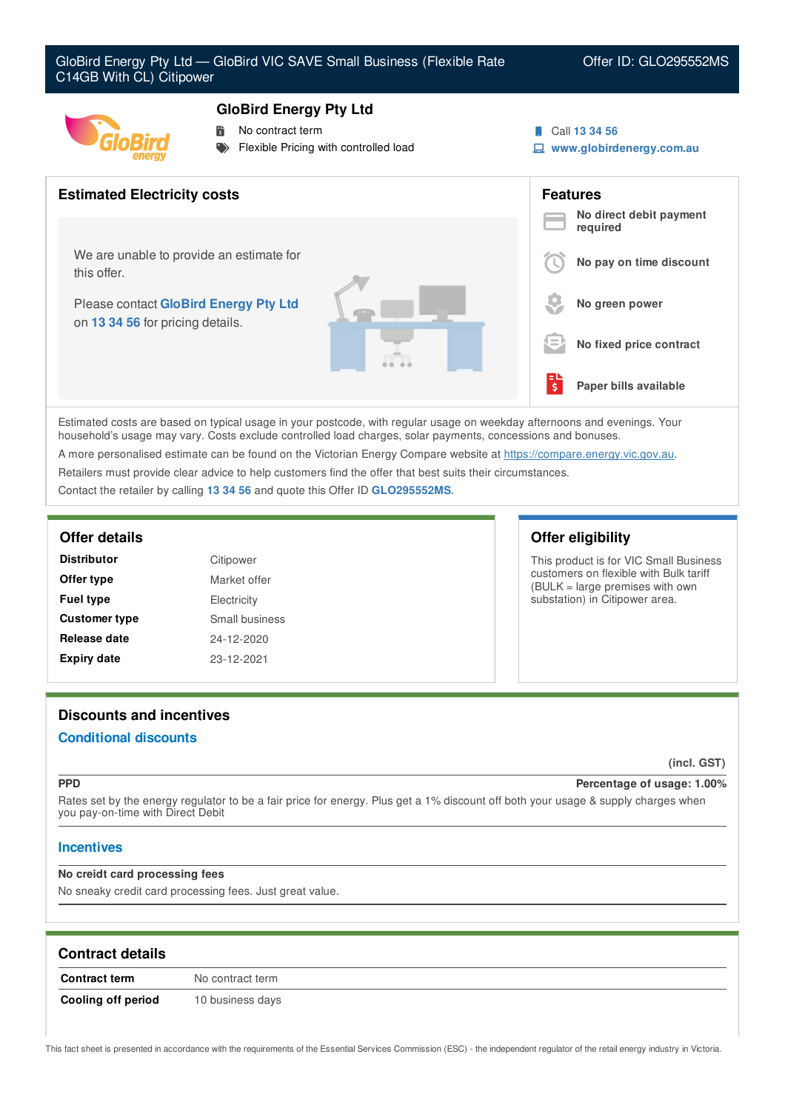

# **GloBird Energy Pty Ltd**

- **No contract term**
- Flexible Pricing with controlled load
- Call **13 34 56**
- **www.globirdenergy.com.au**



Estimated costs are based on typical usage in your postcode, with regular usage on weekday afternoons and evenings. Your household's usage may vary. Costs exclude controlled load charges, solar payments, concessions and bonuses.

A more personalised estimate can be found on the Victorian Energy Compare website at <https://compare.energy.vic.gov.au>.

Retailers must provide clear advice to help customers find the offer that best suits their circumstances.

Contact the retailer by calling **13 34 56** and quote this Offer ID **GLO295552MS**.

| <b>Distributor</b>   | Citipower      |
|----------------------|----------------|
| Offer type           | Market offer   |
| <b>Fuel type</b>     | Electricity    |
| <b>Customer type</b> | Small business |
| Release date         | 24-12-2020     |
| <b>Expiry date</b>   | 23-12-2021     |

# **Offer details Offer eligibility**

This product is for VIC Small Business customers on flexible with Bulk tariff (BULK = large premises with own substation) in Citipower area.

# **Discounts and incentives**

## **Conditional discounts**

**(incl. GST)**

### **PPD Percentage of usage: 1.00%**

Rates set by the energy regulator to be a fair price for energy. Plus get a 1% discount off both your usage & supply charges when you pay-on-time with Direct Debit

## **Incentives**

### **No creidt card processing fees**

No sneaky credit card processing fees. Just great value.

| <b>Contract details</b> |                  |
|-------------------------|------------------|
| <b>Contract term</b>    | No contract term |
| Cooling off period      | 10 business days |

This fact sheet is presented in accordance with the requirements of the Essential Services Commission (ESC) - the independent regulator of the retail energy industry in Victoria.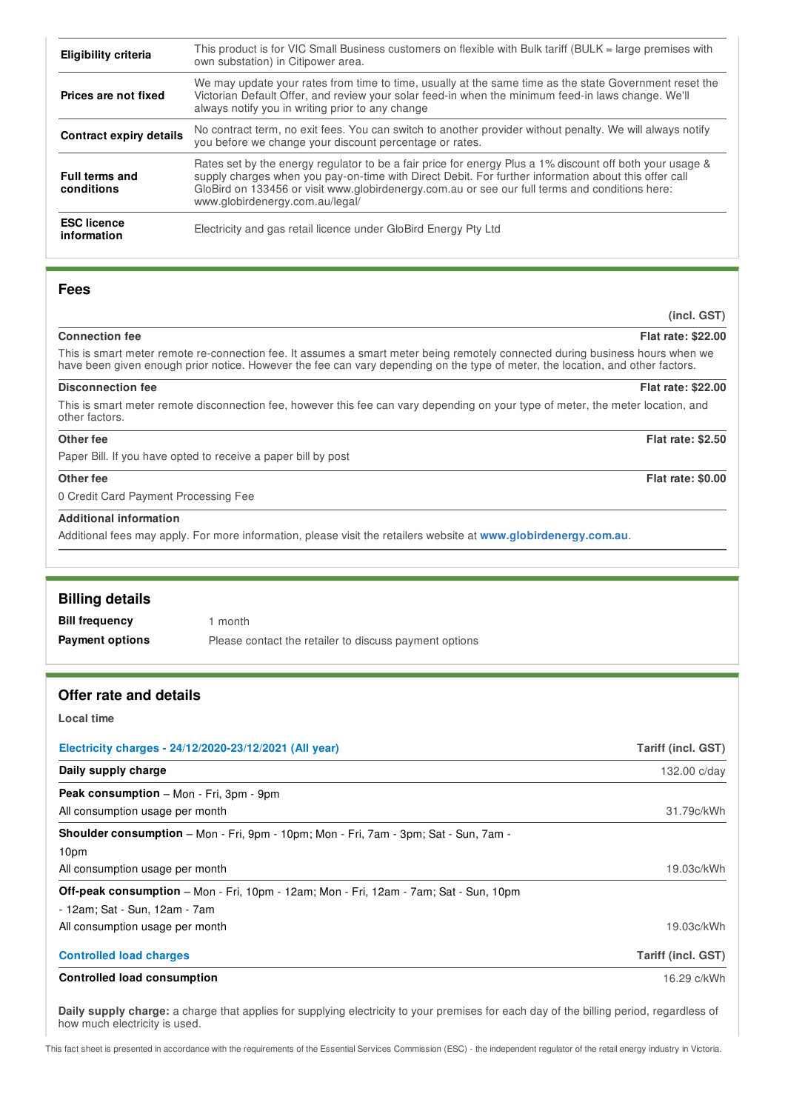| Eligibility criteria                | This product is for VIC Small Business customers on flexible with Bulk tariff (BULK = large premises with<br>own substation) in Citipower area.                                                                                                                                                                                                       |
|-------------------------------------|-------------------------------------------------------------------------------------------------------------------------------------------------------------------------------------------------------------------------------------------------------------------------------------------------------------------------------------------------------|
| Prices are not fixed                | We may update your rates from time to time, usually at the same time as the state Government reset the<br>Victorian Default Offer, and review your solar feed-in when the minimum feed-in laws change. We'll<br>always notify you in writing prior to any change                                                                                      |
| <b>Contract expiry details</b>      | No contract term, no exit fees. You can switch to another provider without penalty. We will always notify<br>you before we change your discount percentage or rates.                                                                                                                                                                                  |
| <b>Full terms and</b><br>conditions | Rates set by the energy regulator to be a fair price for energy Plus a 1% discount off both your usage &<br>supply charges when you pay-on-time with Direct Debit. For further information about this offer call<br>GloBird on 133456 or visit www.globirdenergy.com.au or see our full terms and conditions here:<br>www.globirdenergy.com.au/legal/ |
| <b>ESC licence</b><br>information   | Electricity and gas retail licence under GloBird Energy Pty Ltd                                                                                                                                                                                                                                                                                       |

### **Fees**

#### **Connection fee Flat rate: \$22.00**

This is smart meter remote re-connection fee. It assumes a smart meter being remotely connected during business hours when we have been given enough prior notice. However the fee can vary depending on the type of meter, the location, and other factors.

**(incl. GST)**

#### **Disconnection fee Flat rate: \$22.00**

This is smart meter remote disconnection fee, however this fee can vary depending on your type of meter, the meter location, and other factors.

# **Other fee Flat rate: \$2.50**

Paper Bill. If you have opted to receive a paper bill by post

#### **Other fee Flat rate: \$0.00**

0 Credit Card Payment Processing Fee

#### **Additional information**

Additional fees may apply. For more information, please visit the retailers website at **www.globirdenergy.com.au**.

| Offer rate and detaile |                                                        |  |
|------------------------|--------------------------------------------------------|--|
|                        |                                                        |  |
| <b>Payment options</b> | Please contact the retailer to discuss payment options |  |
| <b>Bill frequency</b>  | l month                                                |  |
| <b>Billing details</b> |                                                        |  |
|                        |                                                        |  |

#### **Offer rate and details**

#### **Local time**

| Electricity charges - 24/12/2020-23/12/2021 (All year)                                      | Tariff (incl. GST) |
|---------------------------------------------------------------------------------------------|--------------------|
| Daily supply charge                                                                         | 132.00 c/day       |
| Peak consumption - Mon - Fri, 3pm - 9pm                                                     |                    |
| All consumption usage per month                                                             | 31.79c/kWh         |
| <b>Shoulder consumption</b> – Mon - Fri, 9pm - 10pm; Mon - Fri, 7am - 3pm; Sat - Sun, 7am - |                    |
| 10pm                                                                                        |                    |
| All consumption usage per month                                                             | 19.03c/kWh         |
| Off-peak consumption - Mon - Fri, 10pm - 12am; Mon - Fri, 12am - 7am; Sat - Sun, 10pm       |                    |
| - 12am: Sat - Sun, 12am - 7am                                                               |                    |
| All consumption usage per month                                                             | 19.03c/kWh         |
| <b>Controlled load charges</b>                                                              | Tariff (incl. GST) |
| <b>Controlled load consumption</b>                                                          | 16.29 c/kWh        |

**Daily supply charge:** a charge that applies for supplying electricity to your premises for each day of the billing period, regardless of how much electricity is used.

This fact sheet is presented in accordance with the requirements of the Essential Services Commission (ESC) - the independent regulator of the retail energy industry in Victoria.